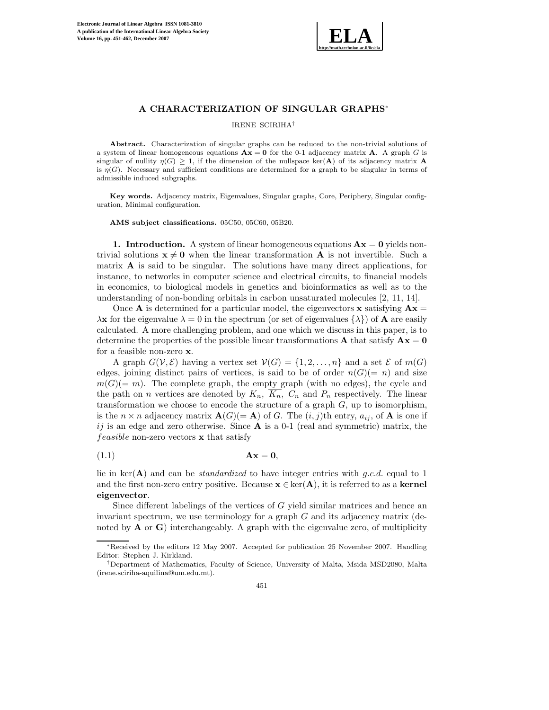

# **A CHARACTERIZATION OF SINGULAR GRAPHS**∗

#### IRENE SCIRIHA†

Abstract. Characterization of singular graphs can be reduced to the non-trivial solutions of a system of linear homogeneous equations  $A x = 0$  for the 0-1 adjacency matrix A. A graph G is singular of nullity  $\eta(G) > 1$ , if the dimension of the nullspace ker(A) of its adjacency matrix A is  $\eta(G)$ . Necessary and sufficient conditions are determined for a graph to be singular in terms of admissible induced subgraphs.

**Key words.** Adjacency matrix, Eigenvalues, Singular graphs, Core, Periphery, Singular configuration, Minimal configuration.

**AMS subject classifications.** 05C50, 05C60, 05B20.

**1. Introduction.** A system of linear homogeneous equations  $Ax = 0$  yields nontrivial solutions  $\mathbf{x} \neq \mathbf{0}$  when the linear transformation **A** is not invertible. Such a matrix **A** is said to be singular. The solutions have many direct applications, for instance, to networks in computer science and electrical circuits, to financial models in economics, to biological models in genetics and bioinformatics as well as to the understanding of non-bonding orbitals in carbon unsaturated molecules [2, 11, 14].

Once **A** is determined for a particular model, the eigenvectors **x** satisfying  $\mathbf{A}\mathbf{x} =$  $\lambda$ **x** for the eigenvalue  $\lambda = 0$  in the spectrum (or set of eigenvalues  $\{\lambda\}$ ) of **A** are easily calculated. A more challenging problem, and one which we discuss in this paper, is to determine the properties of the possible linear transformations **A** that satisfy  $\mathbf{A}\mathbf{x} = \mathbf{0}$ for a feasible non-zero **x**.

A graph  $G(V, \mathcal{E})$  having a vertex set  $V(G) = \{1, 2, ..., n\}$  and a set  $\mathcal{E}$  of  $m(G)$ edges, joining distinct pairs of vertices, is said to be of order  $n(G)(= n)$  and size  $m(G)(= m)$ . The complete graph, the empty graph (with no edges), the cycle and the path on *n* vertices are denoted by  $K_n$ ,  $\overline{K_n}$ ,  $C_n$  and  $P_n$  respectively. The linear transformation we choose to encode the structure of a graph  $G$ , up to isomorphism, is the  $n \times n$  adjacency matrix  $\mathbf{A}(G)(= \mathbf{A})$  of G. The  $(i, j)$ th entry,  $a_{ij}$ , of **A** is one if  $ij$  is an edge and zero otherwise. Since  $A$  is a 0-1 (real and symmetric) matrix, the feasible non-zero vectors **x** that satisfy

$$
Ax = 0,
$$

lie in ker(**A**) and can be *standardized* to have integer entries with g.c.d. equal to 1 and the first non-zero entry positive. Because  $\mathbf{x} \in \text{ker}(\mathbf{A})$ , it is referred to as a **kernel eigenvector**.

Since different labelings of the vertices of G yield similar matrices and hence an invariant spectrum, we use terminology for a graph  $G$  and its adjacency matrix (denoted by  $\bf{A}$  or  $\bf{G}$ ) interchangeably. A graph with the eigenvalue zero, of multiplicity

<sup>∗</sup>Received by the editors 12 May 2007. Accepted for publication 25 November 2007. Handling Editor: Stephen J. Kirkland.

<sup>†</sup>Department of Mathematics, Faculty of Science, University of Malta, Msida MSD2080, Malta (irene.sciriha-aquilina@um.edu.mt).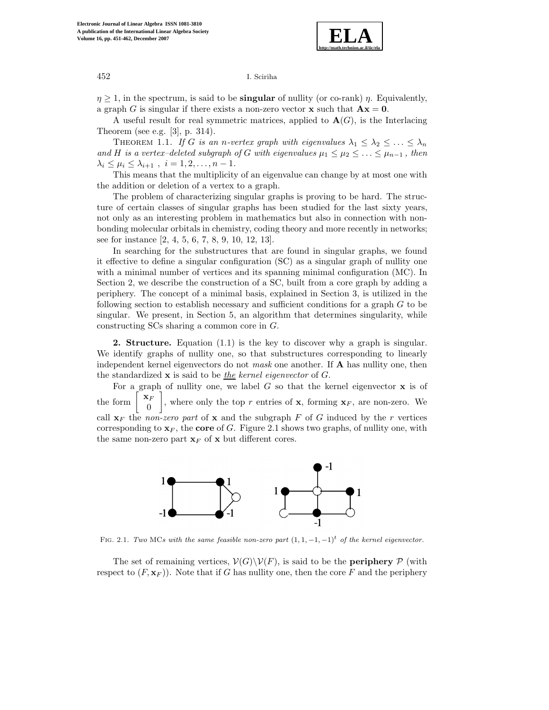

 $\eta \geq 1$ , in the spectrum, is said to be **singular** of nullity (or co-rank)  $\eta$ . Equivalently, a graph G is singular if there exists a non-zero vector **x** such that  $A\mathbf{x} = 0$ .

A useful result for real symmetric matrices, applied to  $\mathbf{A}(G)$ , is the Interlacing Theorem (see e.g. [3], p. 314).

THEOREM 1.1. *If* G *is an n-vertex graph with eigenvalues*  $\lambda_1 \leq \lambda_2 \leq \ldots \leq \lambda_n$ *and* H is a vertex–deleted subgraph of G with eigenvalues  $\mu_1 \leq \mu_2 \leq \ldots \leq \mu_{n-1}$ , then  $\lambda_i \le \mu_i \le \lambda_{i+1}$ ,  $i = 1, 2, ..., n-1$ .

This means that the multiplicity of an eigenvalue can change by at most one with the addition or deletion of a vertex to a graph.

The problem of characterizing singular graphs is proving to be hard. The structure of certain classes of singular graphs has been studied for the last sixty years, not only as an interesting problem in mathematics but also in connection with nonbonding molecular orbitals in chemistry, coding theory and more recently in networks; see for instance [2, 4, 5, 6, 7, 8, 9, 10, 12, 13].

In searching for the substructures that are found in singular graphs, we found it effective to define a singular configuration (SC) as a singular graph of nullity one with a minimal number of vertices and its spanning minimal configuration (MC). In Section 2, we describe the construction of a SC, built from a core graph by adding a periphery. The concept of a minimal basis, explained in Section 3, is utilized in the following section to establish necessary and sufficient conditions for a graph G to be singular. We present, in Section 5, an algorithm that determines singularity, while constructing SCs sharing a common core in G.

**2. Structure.** Equation (1.1) is the key to discover why a graph is singular. We identify graphs of nullity one, so that substructures corresponding to linearly independent kernel eigenvectors do not *mask* one another. If **A** has nullity one, then the standardized **x** is said to be *the kernel eigenvector* of G.

For a graph of nullity one, we label G so that the kernel eigenvector **x** is of the form  $\begin{bmatrix} \mathbf{x}_F \\ 0 \end{bmatrix}$ , where only the top r entries of **x**, forming  $\mathbf{x}_F$ , are non-zero. We call  $\mathbf{x}_F$  the *non-zero part* of **x** and the subgraph F of G induced by the r vertices corresponding to  $\mathbf{x}_F$ , the **core** of G. Figure 2.1 shows two graphs, of nullity one, with the same non-zero part  $\mathbf{x}_F$  of **x** but different cores.



FIG. 2.1. *Two* MCs with the same feasible non-zero part  $(1, 1, -1, -1)^t$  of the kernel eigenvector.

The set of remaining vertices,  $V(G)\backslash V(F)$ , is said to be the **periphery** P (with respect to  $(F, \mathbf{x}_F)$ ). Note that if G has nullity one, then the core F and the periphery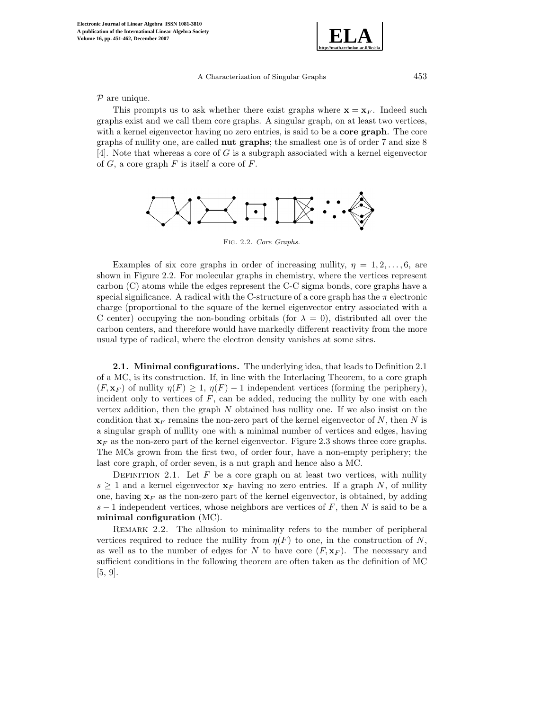

 $P$  are unique.

This prompts us to ask whether there exist graphs where  $\mathbf{x} = \mathbf{x}_F$ . Indeed such graphs exist and we call them core graphs. A singular graph, on at least two vertices, with a kernel eigenvector having no zero entries, is said to be a **core graph**. The core graphs of nullity one, are called **nut graphs**; the smallest one is of order 7 and size 8 [4]. Note that whereas a core of G is a subgraph associated with a kernel eigenvector of  $G$ , a core graph  $F$  is itself a core of  $F$ .



Fig. 2.2. *Core Graphs.*

Examples of six core graphs in order of increasing nullity,  $\eta = 1, 2, \ldots, 6$ , are shown in Figure 2.2. For molecular graphs in chemistry, where the vertices represent carbon (C) atoms while the edges represent the C-C sigma bonds, core graphs have a special significance. A radical with the C-structure of a core graph has the  $\pi$  electronic charge (proportional to the square of the kernel eigenvector entry associated with a C center) occupying the non-bonding orbitals (for  $\lambda = 0$ ), distributed all over the carbon centers, and therefore would have markedly different reactivity from the more usual type of radical, where the electron density vanishes at some sites.

**2.1. Minimal configurations.** The underlying idea, that leads to Definition 2.1 of a MC, is its construction. If, in line with the Interlacing Theorem, to a core graph  $(F, \mathbf{x}_F)$  of nullity  $\eta(F) \geq 1$ ,  $\eta(F) - 1$  independent vertices (forming the periphery), incident only to vertices of  $F$ , can be added, reducing the nullity by one with each vertex addition, then the graph  $N$  obtained has nullity one. If we also insist on the condition that  $\mathbf{x}_F$  remains the non-zero part of the kernel eigenvector of N, then N is a singular graph of nullity one with a minimal number of vertices and edges, having  $\mathbf{x}_F$  as the non-zero part of the kernel eigenvector. Figure 2.3 shows three core graphs. The MCs grown from the first two, of order four, have a non-empty periphery; the last core graph, of order seven, is a nut graph and hence also a MC.

DEFINITION 2.1. Let  $F$  be a core graph on at least two vertices, with nullity  $s \geq 1$  and a kernel eigenvector  $\mathbf{x}_F$  having no zero entries. If a graph N, of nullity one, having  $\mathbf{x}_F$  as the non-zero part of the kernel eigenvector, is obtained, by adding s − 1 independent vertices, whose neighbors are vertices of  $F$ , then  $N$  is said to be a **minimal configuration** (MC).

REMARK 2.2. The allusion to minimality refers to the number of peripheral vertices required to reduce the nullity from  $\eta(F)$  to one, in the construction of N, as well as to the number of edges for N to have core  $(F, \mathbf{x}_F)$ . The necessary and sufficient conditions in the following theorem are often taken as the definition of MC [5, 9].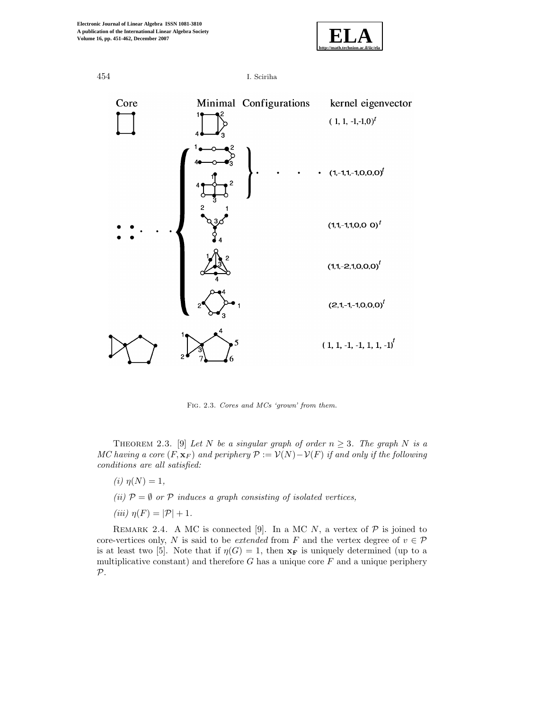



Fig. 2.3. *Cores and MCs 'grown' from them.*

THEOREM 2.3. [9] *Let* N *be a singular graph of order*  $n \geq 3$ *. The graph* N *is a MC having a core*  $(F, \mathbf{x}_F)$  *and periphery*  $\mathcal{P} := \mathcal{V}(N) - \mathcal{V}(F)$  *if and only if the following conditions are all satisfied:*

- *(i)*  $\eta(N)=1$ ,
- *(ii)*  $P = \emptyset$  *or*  $P$  *induces a graph consisting of isolated vertices,*
- *(iii)*  $\eta(F) = |\mathcal{P}| + 1$ .

REMARK 2.4. A MC is connected [9]. In a MC N, a vertex of  $P$  is joined to core-vertices only, N is said to be *extended* from F and the vertex degree of  $v \in \mathcal{P}$ is at least two [5]. Note that if  $\eta(G) = 1$ , then  $\mathbf{x_F}$  is uniquely determined (up to a multiplicative constant) and therefore  $G$  has a unique core  $F$  and a unique periphery  $\mathcal{P}.$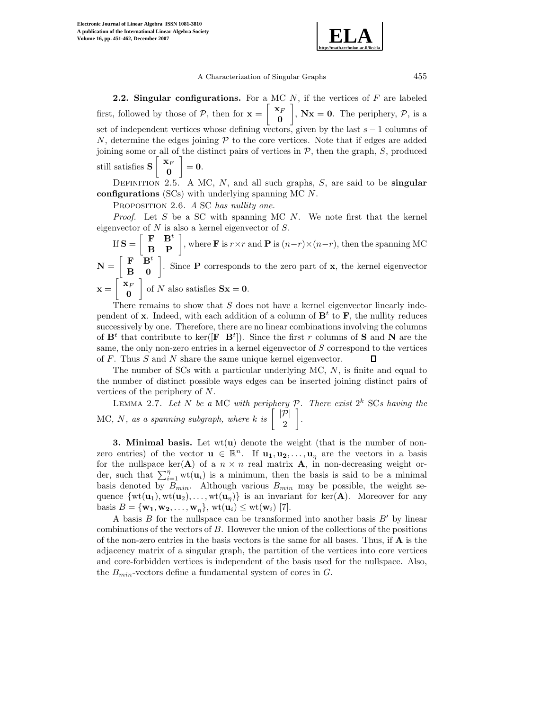

**2.2. Singular configurations.** For a MC N, if the vertices of F are labeled first, followed by those of P, then for  $\mathbf{x} = \begin{bmatrix} \mathbf{x}_F & \mathbf{x}_F & \mathbf{x}_F & \mathbf{x}_F & \mathbf{x}_F & \mathbf{x}_F & \mathbf{x}_F & \mathbf{x}_F & \mathbf{x}_F & \mathbf{x}_F & \mathbf{x}_F & \mathbf{x}_F & \mathbf{x}_F & \mathbf{x}_F & \mathbf{x}_F & \mathbf{x}_F & \mathbf{x}_F & \mathbf{x}_F & \mathbf{x}_F & \mathbf{x}_F & \mathbf{x}_F & \mathbf{x}_F & \mathbf{x}_F & \mathbf{x}_F &$ **0**  $\Big\}, \mathbf{Nx} = \mathbf{0}.$  The periphery,  $P$ , is a set of independent vertices whose defining vectors, given by the last  $s - 1$  columns of  $N$ , determine the edges joining  $P$  to the core vertices. Note that if edges are added joining some or all of the distinct pairs of vertices in  $P$ , then the graph,  $S$ , produced still satisfies  $S \begin{bmatrix} x_F \\ 0 \end{bmatrix}$ **0**  $\Big] = 0.$ 

Definition 2.5. A MC, <sup>N</sup>, and all such graphs, <sup>S</sup>, are said to be **singular configurations** (SCs) with underlying spanning MC N.

Proposition 2.6. *<sup>A</sup>* SC *has nullity one.*

*Proof.* Let  $S$  be a SC with spanning MC  $N$ . We note first that the kernel eigenvector of  $N$  is also a kernel eigenvector of  $S$ .

If  $\mathbf{S} = \begin{bmatrix} \mathbf{F} & \mathbf{B}^t \\ \mathbf{B} & \mathbf{P} \end{bmatrix}$ , where **F** is  $r \times r$  and **P** is  $(n-r) \times (n-r)$ , then the spanning MC  $N = \begin{bmatrix} F & B^t \\ B & 0 \end{bmatrix}$ . Since **P** corresponds to the zero part of **x**, the kernel eigenvector  $\mathbf{x} = \begin{bmatrix} \mathbf{x}_F \\ \mathbf{x}_F \end{bmatrix}$ **0** of N also satisfies  $Sx = 0$ .

There remains to show that  $S$  does not have a kernel eigenvector linearly independent of **x**. Indeed, with each addition of a column of  $\mathbf{B}^t$  to **F**, the nullity reduces successively by one. Therefore, there are no linear combinations involving the columns of  $\mathbf{B}^t$  that contribute to ker( $[\mathbf{F} \ \mathbf{B}^t]$ ). Since the first r columns of **S** and **N** are the same, the only non-zero entries in a kernel eigenvector of S correspond to the vertices of F. Thus S and N share the same unique kernel eigenvector. Л

The number of  $SCs$  with a particular underlying MC,  $N$ , is finite and equal to the number of distinct possible ways edges can be inserted joining distinct pairs of vertices of the periphery of N.

Lemma 2.7. *Let* <sup>N</sup> *be a* MC *with periphery* <sup>P</sup>*. There exist* <sup>2</sup><sup>k</sup> SC*s having the* MC, N, as a spanning subgraph, where  $k$  is  $\begin{bmatrix} |\mathcal{P}| \\ 2 \end{bmatrix}$ - *.*

**3. Minimal basis.** Let wt(**u**) denote the weight (that is the number of nonzero entries) of the vector  $\mathbf{u} \in \mathbb{R}^n$ . If  $\mathbf{u}_1, \mathbf{u}_2, \ldots, \mathbf{u}_n$  are the vectors in a basis for the nullspace  $\text{ker}(\mathbf{A})$  of a  $n \times n$  real matrix **A**, in non-decreasing weight order, such that  $\sum_{i=1}^{n} \text{wt}(\mathbf{u}_i)$  is a minimum, then the basis is said to be a minimal basis denoted by  $B_{min}$ . Although various  $B_{min}$  may be possible, the weight sequence  $\{wt(\mathbf{u}_1), wt(\mathbf{u}_2), \ldots, wt(\mathbf{u}_n)\}\$ is an invariant for ker $(\mathbf{A})$ . Moreover for any basis  $B = {\mathbf{w}_1, \mathbf{w}_2, \ldots, \mathbf{w}_n}$ , wt $(\mathbf{u}_i) \leq \text{wt}(\mathbf{w}_i)$  [7].

A basis  $B$  for the nullspace can be transformed into another basis  $B'$  by linear combinations of the vectors of B. However the union of the collections of the positions of the non-zero entries in the basis vectors is the same for all bases. Thus, if **A** is the adjacency matrix of a singular graph, the partition of the vertices into core vertices and core-forbidden vertices is independent of the basis used for the nullspace. Also, the  $B_{min}$ -vectors define a fundamental system of cores in  $G$ .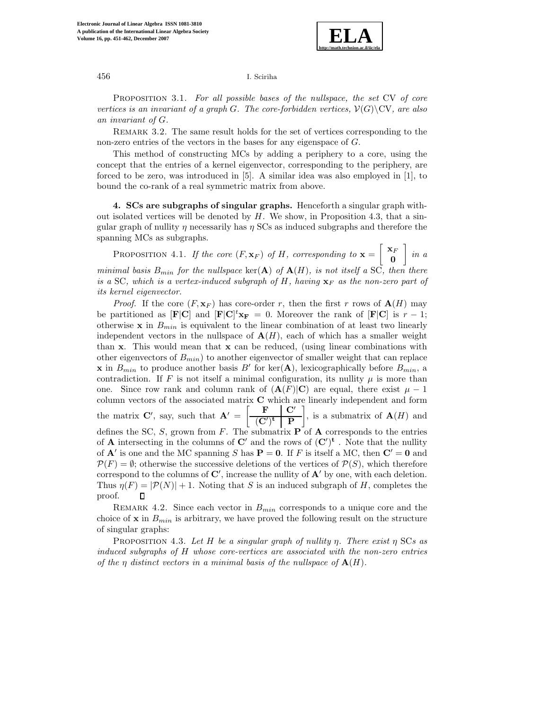

Proposition 3.1. *For all possible bases of the nullspace, the set* CV *of core vertices is an invariant of a graph* G. The core-forbidden vertices,  $\mathcal{V}(G)\$  CV, are also *an invariant of* G*.*

REMARK 3.2. The same result holds for the set of vertices corresponding to the non-zero entries of the vectors in the bases for any eigenspace of G.

This method of constructing MCs by adding a periphery to a core, using the concept that the entries of a kernel eigenvector, corresponding to the periphery, are forced to be zero, was introduced in [5]. A similar idea was also employed in [1], to bound the co-rank of a real symmetric matrix from above.

**4. SCs are subgraphs of singular graphs.** Henceforth a singular graph without isolated vertices will be denoted by  $H$ . We show, in Proposition 4.3, that a singular graph of nullity  $\eta$  necessarily has  $\eta$  SCs as induced subgraphs and therefore the spanning MCs as subgraphs.

PROPOSITION 4.1. *If the core*  $(F, \mathbf{x}_F)$  *of H, corresponding to*  $\mathbf{x} = \begin{bmatrix} \mathbf{x}_F \\ \mathbf{0} \end{bmatrix}$ **0** - *in a minimal basis*  $B_{min}$  *for the nullspace* ker(**A**) *of*  $\mathbf{A}(H)$ *, is not itself a*  $SC$ *, then there is a* SC, which is a vertex-induced subgraph of H, having  $\mathbf{x}_F$  *as the non-zero part of its kernel eigenvector.*

*Proof.* If the core  $(F, \mathbf{x}_F)$  has core-order r, then the first r rows of  $\mathbf{A}(H)$  may be partitioned as  $[\mathbf{F}|\mathbf{C}]$  and  $[\mathbf{F}|\mathbf{C}]^t\mathbf{x}_\mathbf{F} = 0$ . Moreover the rank of  $[\mathbf{F}|\mathbf{C}]$  is  $r-1$ ; otherwise  $\mathbf{x}$  in  $B_{min}$  is equivalent to the linear combination of at least two linearly independent vectors in the nullspace of  $A(H)$ , each of which has a smaller weight than **x**. This would mean that **x** can be reduced, (using linear combinations with other eigenvectors of  $B_{min}$ ) to another eigenvector of smaller weight that can replace **x** in  $B_{min}$  to produce another basis B' for ker(**A**), lexicographically before  $B_{min}$ , a contradiction. If F is not itself a minimal configuration, its nullity  $\mu$  is more than one. Since row rank and column rank of  $(A(F)|C)$  are equal, there exist  $\mu - 1$ column vectors of the associated matrix **C** which are linearly independent and form the matrix **C**', say, such that  $\mathbf{A}' = \begin{bmatrix} \mathbf{F} & \mathbf{C}' \\ \hline \mathbf{C}' \mathbf{C} & \mathbf{D} \end{bmatrix}$  $\left| \right|$ , is a submatrix of  $\mathbf{A}(H)$  and  $(\mathbf{C}')^\mathbf{t}$  **P** defines the SC, S, grown from  $F$ . The submatrix  $\overrightarrow{P}$  of  $\overrightarrow{A}$  corresponds to the entries of **A** intersecting in the columns of  $\mathbb{C}'$  and the rows of  $(\mathbb{C}')^{\mathbf{t}}$ . Note that the nullity of  $\mathbf{A}'$  is one and the MC spanning S has  $\mathbf{P} = \mathbf{0}$ . If F is itself a MC, then  $\mathbf{C}' = \mathbf{0}$  and  $\mathcal{P}(F) = \emptyset$ ; otherwise the successive deletions of the vertices of  $\mathcal{P}(S)$ , which therefore correspond to the columns of  $\mathbf{C}'$ , increase the nullity of  $\mathbf{A}'$  by one, with each deletion. Thus  $\eta(F) = |\mathcal{P}(N)| + 1$ . Noting that S is an induced subgraph of H, completes the proof. П

REMARK 4.2. Since each vector in  $B_{min}$  corresponds to a unique core and the choice of **x** in  $B_{min}$  is arbitrary, we have proved the following result on the structure of singular graphs:

Proposition 4.3. *Let* <sup>H</sup> *be a singular graph of nullity* <sup>η</sup>*. There exist* <sup>η</sup> SC*s as induced subgraphs of* H *whose core-vertices are associated with the non-zero entries of the*  $\eta$  *distinct vectors in a minimal basis of the nullspace of*  $\mathbf{A}(H)$ *.*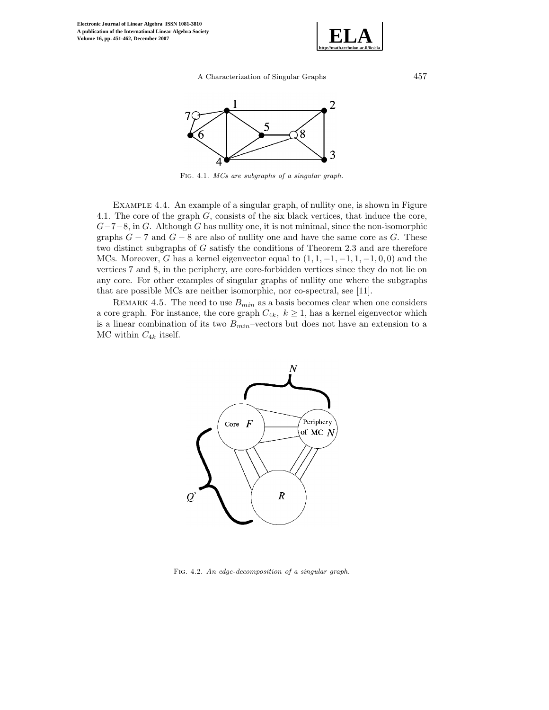



Fig. 4.1. *MCs are subgraphs of a singular graph.*

Example 4.4. An example of a singular graph, of nullity one, is shown in Figure 4.1. The core of the graph  $G$ , consists of the six black vertices, that induce the core,  $G-7-8$ , in G. Although G has nullity one, it is not minimal, since the non-isomorphic graphs  $G - 7$  and  $G - 8$  are also of nullity one and have the same core as G. These two distinct subgraphs of G satisfy the conditions of Theorem 2.3 and are therefore MCs. Moreover, G has a kernel eigenvector equal to  $(1, 1, -1, -1, 1, -1, 0, 0)$  and the vertices 7 and 8, in the periphery, are core-forbidden vertices since they do not lie on any core. For other examples of singular graphs of nullity one where the subgraphs that are possible MCs are neither isomorphic, nor co-spectral, see [11].

REMARK 4.5. The need to use  $B_{min}$  as a basis becomes clear when one considers a core graph. For instance, the core graph  $C_{4k}$ ,  $k \geq 1$ , has a kernel eigenvector which is a linear combination of its two  $B_{min}$ -vectors but does not have an extension to a MC within  $C_{4k}$  itself.



Fig. 4.2. *An edge-decomposition of a singular graph.*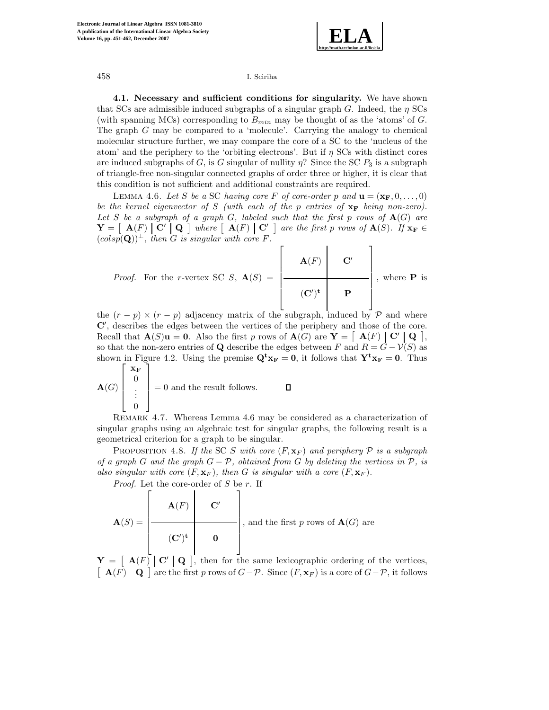

**4.1. Necessary and sufficient conditions for singularity.** We have shown that SCs are admissible induced subgraphs of a singular graph G. Indeed, the  $\eta$  SCs (with spanning MCs) corresponding to  $B_{min}$  may be thought of as the 'atoms' of G. The graph G may be compared to a 'molecule'. Carrying the analogy to chemical molecular structure further, we may compare the core of a SC to the 'nucleus of the atom' and the periphery to the 'orbiting electrons'. But if  $\eta$  SCs with distinct cores are induced subgraphs of G, is G singular of nullity  $\eta$ ? Since the SC  $P_3$  is a subgraph of triangle-free non-singular connected graphs of order three or higher, it is clear that this condition is not sufficient and additional constraints are required.

LEMMA 4.6. Let S be a SC having core F of core-order p and  $\mathbf{u} = (\mathbf{x}_\mathbf{F}, 0, \dots, 0)$ *be the kernel eigenvector of* S *(with each of the* p *entries of* **x<sup>F</sup>** *being non-zero). Let* S *be a subgraph of a graph* G*, labeled such that the first* p *rows of* **A**(G) *are*  $\mathbf{Y} = [\mathbf{A}(F) | \mathbf{C}' | \mathbf{Q}]$  where  $[\mathbf{A}(F) | \mathbf{C}' ]$  are the first p rows of  $\mathbf{A}(S)$ *.* If  $\mathbf{x_F} \in \mathbb{R}$  $(colsp(Q))^{\perp}$ , then G is singular with core F.

*Proof.* For the *r*-vertex SC *S*, 
$$
\mathbf{A}(S) = \begin{bmatrix} \mathbf{A}(F) & \mathbf{C}' \\ \hline & & \\ \hline & & \\ \mathbf{C}'^{\dagger} & \mathbf{P} \end{bmatrix}
$$
, where **P** is

the  $(r - p) \times (r - p)$  adjacency matrix of the subgraph, induced by  $\mathcal{P}$  and where **C** , describes the edges between the vertices of the periphery and those of the core. Recall that  $\mathbf{A}(S)\mathbf{u} = \mathbf{0}$ . Also the first p rows of  $\mathbf{A}(G)$  are  $\mathbf{Y} = \begin{bmatrix} \mathbf{A}(F) & \mathbf{C}' & \mathbf{Q} \end{bmatrix}$ , so that the non-zero entries of **Q** describe the edges between F and  $R = G - V(S)$  as shown in Figure 4.2. Using the premise  $\mathbf{Q}^t \mathbf{x_F} = \mathbf{0}$ , it follows that  $\mathbf{Y}^t \mathbf{x_F} = \mathbf{0}$ . Thus  $\lceil x_F \rceil$ 

$$
\mathbf{A}(G) \begin{bmatrix} \mathbf{A}_{\mathbf{F}} \\ \mathbf{0} \\ \vdots \\ \mathbf{0} \end{bmatrix} = 0 \text{ and the result follows.} \qquad \qquad \mathbf{\square}
$$

Remark 4.7. Whereas Lemma 4.6 may be considered as a characterization of singular graphs using an algebraic test for singular graphs, the following result is a geometrical criterion for a graph to be singular.

PROPOSITION 4.8. If the SC S with core  $(F, \mathbf{x}_F)$  and periphery  $\mathcal P$  is a subgraph *of a graph* G *and the graph* G − P*, obtained from* G *by deleting the vertices in* P*, is also singular with core*  $(F, \mathbf{x}_F)$ *, then G is singular with a core*  $(F, \mathbf{x}_F)$ *.* 

*Proof.* Let the core-order of S be r. If

$$
\mathbf{A}(S) = \begin{bmatrix} \mathbf{A}(F) & \mathbf{C}' \\ \hline & & \\ (\mathbf{C}')^{\mathbf{t}} & \mathbf{0} \end{bmatrix}
$$
, and the first *p* rows of  $\mathbf{A}(G)$  are

 $\mathbf{Y} = \begin{bmatrix} \mathbf{A}(F) & \mathbf{C}' & \mathbf{Q} \end{bmatrix}$ , then for the same lexicographic ordering of the vertices,  $\left[\begin{array}{cc} \mathbf{A}(F) & \mathbf{Q} \end{array}\right]$  are the first p rows of  $G-\mathcal{P}$ . Since  $(F, \mathbf{x}_F)$  is a core of  $G-\mathcal{P}$ , it follows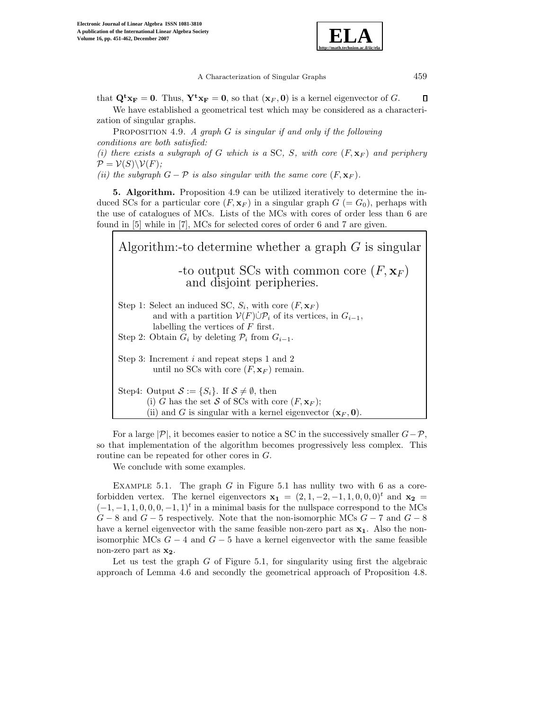

that  $\mathbf{Q}^t \mathbf{x}_F = \mathbf{0}$ . Thus,  $\mathbf{Y}^t \mathbf{x}_F = \mathbf{0}$ , so that  $(\mathbf{x}_F, \mathbf{0})$  is a kernel eigenvector of G.  $\Box$ We have established a geometrical test which may be considered as a characterization of singular graphs.

Proposition 4.9. *A graph* <sup>G</sup> *is singular if and only if the following conditions are both satisfied:*

(*i*) there exists a subgraph of G which is a SC, S, with core  $(F, \mathbf{x}_F)$  and periphery  $\mathcal{P} = \mathcal{V}(S) \backslash \mathcal{V}(F)$ ;

*(ii)* the subgraph  $G - P$  *is also singular with the same core*  $(F, \mathbf{x}_F)$ *.* 

**5. Algorithm.** Proposition 4.9 can be utilized iteratively to determine the induced SCs for a particular core  $(F, \mathbf{x}_F)$  in a singular graph  $G = G_0$ , perhaps with the use of catalogues of MCs. Lists of the MCs with cores of order less than 6 are found in [5] while in [7], MCs for selected cores of order 6 and 7 are given.

| Algorithm:-to determine whether a graph $G$ is singular                                                                                                                                                                                                                |
|------------------------------------------------------------------------------------------------------------------------------------------------------------------------------------------------------------------------------------------------------------------------|
| -to output SCs with common core $(F, \mathbf{x}_F)$<br>and disjoint peripheries.                                                                                                                                                                                       |
| Step 1: Select an induced SC, $S_i$ , with core $(F, \mathbf{x}_F)$<br>and with a partition $V(F)\dot{\cup}\mathcal{P}_i$ of its vertices, in $G_{i-1}$ ,<br>labelling the vertices of $F$ first.<br>Step 2: Obtain $G_i$ by deleting $\mathcal{P}_i$ from $G_{i-1}$ . |
| Step 3: Increment $i$ and repeat steps 1 and 2<br>until no SCs with core $(F, \mathbf{x}_F)$ remain.                                                                                                                                                                   |
| Step4: Output $S := \{S_i\}$ . If $S \neq \emptyset$ , then<br>(i) G has the set S of SCs with core $(F, \mathbf{x}_F)$ ;<br>(ii) and G is singular with a kernel eigenvector $(\mathbf{x}_F, \mathbf{0})$ .                                                           |

For a large  $|\mathcal{P}|$ , it becomes easier to notice a SC in the successively smaller  $G-\mathcal{P}$ , so that implementation of the algorithm becomes progressively less complex. This routine can be repeated for other cores in G.

We conclude with some examples.

EXAMPLE 5.1. The graph  $G$  in Figure 5.1 has nullity two with 6 as a coreforbidden vertex. The kernel eigenvectors  $\mathbf{x}_1 = (2, 1, -2, -1, 1, 0, 0, 0)^t$  and  $\mathbf{x}_2 =$  $(-1, -1, 1, 0, 0, 0, -1, 1)^t$  in a minimal basis for the nullspace correspond to the MCs  $G-8$  and  $G-5$  respectively. Note that the non-isomorphic MCs  $G-7$  and  $G-8$ have a kernel eigenvector with the same feasible non-zero part as **x1**. Also the nonisomorphic MCs  $G - 4$  and  $G - 5$  have a kernel eigenvector with the same feasible non-zero part as **x2**.

Let us test the graph  $G$  of Figure 5.1, for singularity using first the algebraic approach of Lemma 4.6 and secondly the geometrical approach of Proposition 4.8.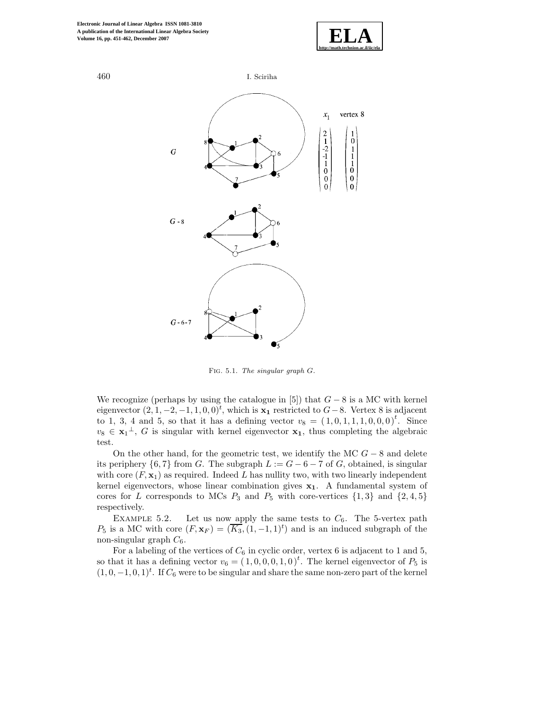



Fig. 5.1. *The singular graph* <sup>G</sup>*.*

We recognize (perhaps by using the catalogue in [5]) that  $G - 8$  is a MC with kernel eigenvector  $(2, 1, -2, -1, 1, 0, 0)<sup>t</sup>$ , which is  $\mathbf{x}_1$  restricted to  $G-8$ . Vertex 8 is adjacent to 1, 3, 4 and 5, so that it has a defining vector  $v_8 = (1, 0, 1, 1, 1, 0, 0, 0)^t$ . Since  $v_8 \in \mathbf{x}_1^{\perp}$ , G is singular with kernel eigenvector  $\mathbf{x}_1$ , thus completing the algebraic test.

On the other hand, for the geometric test, we identify the MC  $G - 8$  and delete its periphery  $\{6, 7\}$  from G. The subgraph  $L := G - 6 - 7$  of G, obtained, is singular with core  $(F, \mathbf{x}_1)$  as required. Indeed L has nullity two, with two linearly independent kernel eigenvectors, whose linear combination gives **x1**. A fundamental system of cores for L corresponds to MCs  $P_3$  and  $P_5$  with core-vertices  $\{1,3\}$  and  $\{2,4,5\}$ respectively.

EXAMPLE 5.2. Let us now apply the same tests to  $C_6$ . The 5-vertex path  $P_5$  is a MC with core  $(F, \mathbf{x}_F) = (\overline{K_3}, (1, -1, 1)^t)$  and is an induced subgraph of the non-singular graph  $C_6$ .

For a labeling of the vertices of  $C_6$  in cyclic order, vertex  $6$  is adjacent to  $1$  and  $5,$ so that it has a defining vector  $v_6 = (1, 0, 0, 0, 1, 0)^t$ . The kernel eigenvector of  $P_5$  is  $(1, 0, -1, 0, 1)<sup>t</sup>$ . If  $C_6$  were to be singular and share the same non-zero part of the kernel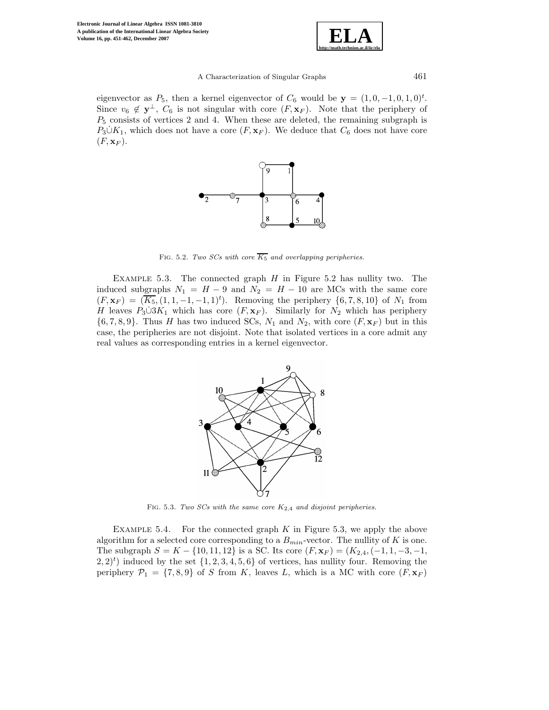

eigenvector as  $P_5$ , then a kernel eigenvector of  $C_6$  would be  $y = (1, 0, -1, 0, 1, 0)^t$ . Since  $v_6 \notin \mathbf{y}^{\perp}$ ,  $C_6$  is not singular with core  $(F, \mathbf{x}_F)$ . Note that the periphery of  $P_5$  consists of vertices 2 and 4. When these are deleted, the remaining subgraph is  $P_3 \dot{\cup} K_1$ , which does not have a core  $(F, x_F)$ . We deduce that  $C_6$  does not have core  $(F, \mathbf{x}_F)$ .



FIG. 5.2. *Two SCs with core*  $\overline{K_5}$  and overlapping peripheries.

EXAMPLE 5.3. The connected graph  $H$  in Figure 5.2 has nullity two. The induced subgraphs  $N_1 = H - 9$  and  $N_2 = H - 10$  are MCs with the same core  $(F, \mathbf{x}_F) = (\overline{K_5}, (1, 1, -1, -1, 1)^t)$ . Removing the periphery  $\{6, 7, 8, 10\}$  of  $N_1$  from H leaves  $P_3 \cup 3K_1$  which has core  $(F, x_F)$ . Similarly for  $N_2$  which has periphery  $\{6, 7, 8, 9\}$ . Thus H has two induced SCs,  $N_1$  and  $N_2$ , with core  $(F, \mathbf{x}_F)$  but in this case, the peripheries are not disjoint. Note that isolated vertices in a core admit any real values as corresponding entries in a kernel eigenvector.



Fig. 5.3. *Two SCs with the same core* <sup>K</sup>2*,*<sup>4</sup> *and disjoint peripheries.*

EXAMPLE 5.4. For the connected graph  $K$  in Figure 5.3, we apply the above algorithm for a selected core corresponding to a  $B_{min}$ -vector. The nullity of K is one. The subgraph  $S = K - \{10, 11, 12\}$  is a SC. Its core  $(F, \mathbf{x}_F) = (K_{2,4}, (-1, 1, -3, -1,$  $(2, 2)^t$  induced by the set  $\{1, 2, 3, 4, 5, 6\}$  of vertices, has nullity four. Removing the periphery  $\mathcal{P}_1 = \{7, 8, 9\}$  of S from K, leaves L, which is a MC with core  $(F, \mathbf{x}_F)$